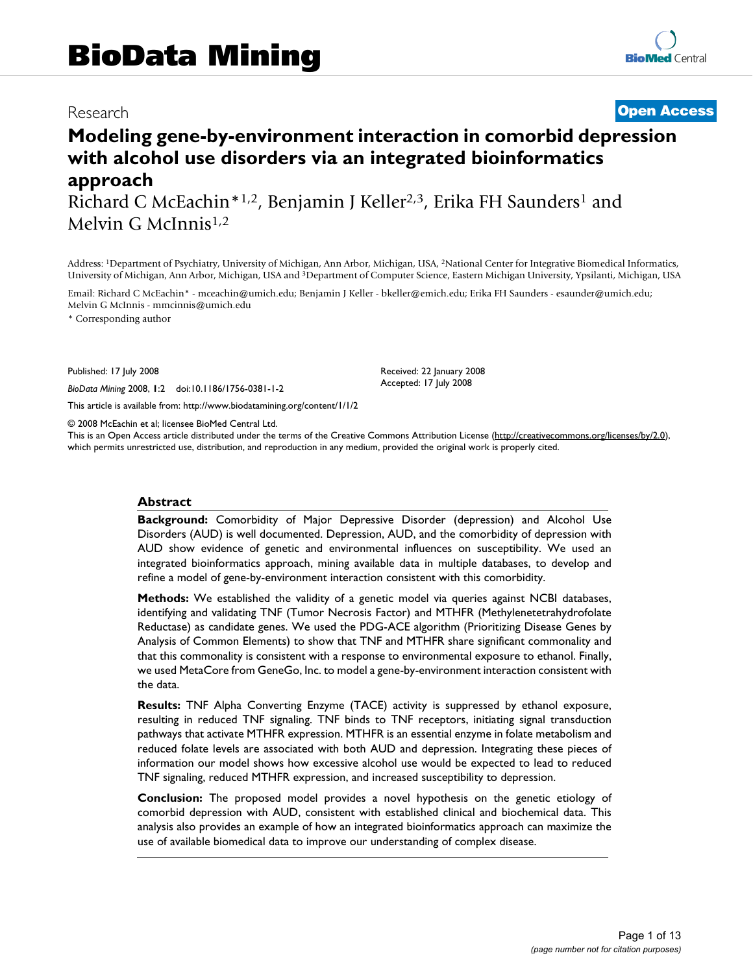## Research **[Open Access](http://www.biomedcentral.com/info/about/charter/)**

# **Modeling gene-by-environment interaction in comorbid depression with alcohol use disorders via an integrated bioinformatics approach**

Richard C McEachin\*<sup>1,2</sup>, Benjamin J Keller<sup>2,3</sup>, Erika FH Saunders<sup>1</sup> and Melvin G McInnis<sup>1,2</sup>

Address: 1Department of Psychiatry, University of Michigan, Ann Arbor, Michigan, USA, 2National Center for Integrative Biomedical Informatics, University of Michigan, Ann Arbor, Michigan, USA and 3Department of Computer Science, Eastern Michigan University, Ypsilanti, Michigan, USA

Email: Richard C McEachin\* - mceachin@umich.edu; Benjamin J Keller - bkeller@emich.edu; Erika FH Saunders - esaunder@umich.edu; Melvin G McInnis - mmcinnis@umich.edu

\* Corresponding author

Published: 17 July 2008

*BioData Mining* 2008, **1**:2 doi:10.1186/1756-0381-1-2

[This article is available from: http://www.biodatamining.org/content/1/1/2](http://www.biodatamining.org/content/1/1/2)

© 2008 McEachin et al; licensee BioMed Central Ltd.

This is an Open Access article distributed under the terms of the Creative Commons Attribution License [\(http://creativecommons.org/licenses/by/2.0\)](http://creativecommons.org/licenses/by/2.0), which permits unrestricted use, distribution, and reproduction in any medium, provided the original work is properly cited.

Received: 22 January 2008 Accepted: 17 July 2008

#### **Abstract**

**Background:** Comorbidity of Major Depressive Disorder (depression) and Alcohol Use Disorders (AUD) is well documented. Depression, AUD, and the comorbidity of depression with AUD show evidence of genetic and environmental influences on susceptibility. We used an integrated bioinformatics approach, mining available data in multiple databases, to develop and refine a model of gene-by-environment interaction consistent with this comorbidity.

**Methods:** We established the validity of a genetic model via queries against NCBI databases, identifying and validating TNF (Tumor Necrosis Factor) and MTHFR (Methylenetetrahydrofolate Reductase) as candidate genes. We used the PDG-ACE algorithm (Prioritizing Disease Genes by Analysis of Common Elements) to show that TNF and MTHFR share significant commonality and that this commonality is consistent with a response to environmental exposure to ethanol. Finally, we used MetaCore from GeneGo, Inc. to model a gene-by-environment interaction consistent with the data.

**Results:** TNF Alpha Converting Enzyme (TACE) activity is suppressed by ethanol exposure, resulting in reduced TNF signaling. TNF binds to TNF receptors, initiating signal transduction pathways that activate MTHFR expression. MTHFR is an essential enzyme in folate metabolism and reduced folate levels are associated with both AUD and depression. Integrating these pieces of information our model shows how excessive alcohol use would be expected to lead to reduced TNF signaling, reduced MTHFR expression, and increased susceptibility to depression.

**Conclusion:** The proposed model provides a novel hypothesis on the genetic etiology of comorbid depression with AUD, consistent with established clinical and biochemical data. This analysis also provides an example of how an integrated bioinformatics approach can maximize the use of available biomedical data to improve our understanding of complex disease.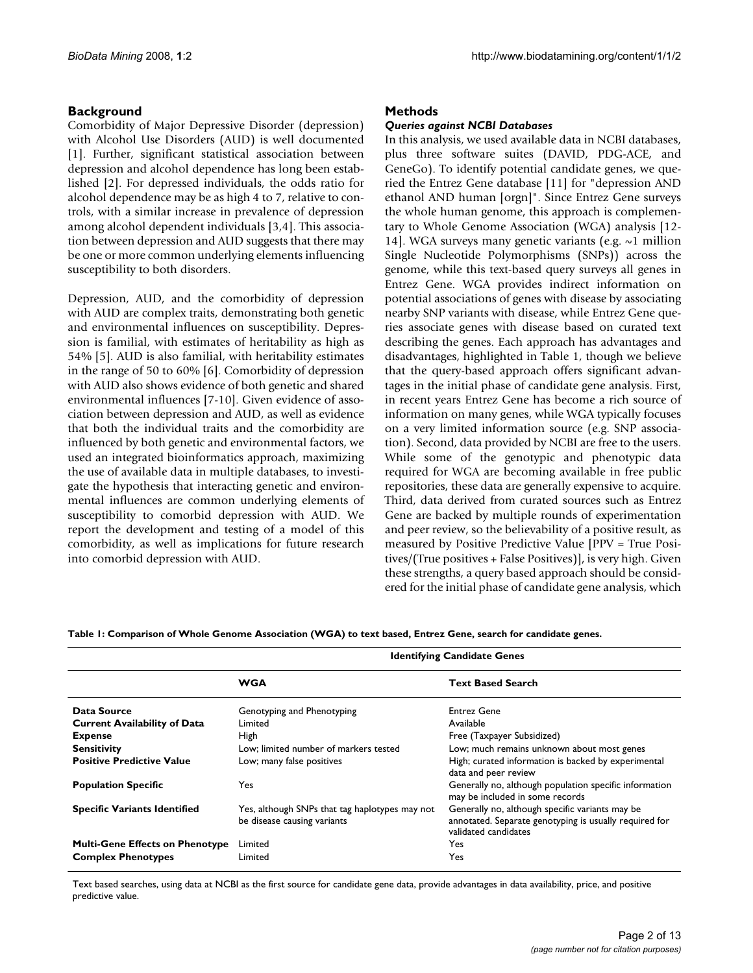## **Background**

Comorbidity of Major Depressive Disorder (depression) with Alcohol Use Disorders (AUD) is well documented [1]. Further, significant statistical association between depression and alcohol dependence has long been established [2]. For depressed individuals, the odds ratio for alcohol dependence may be as high 4 to 7, relative to controls, with a similar increase in prevalence of depression among alcohol dependent individuals [3,4]. This association between depression and AUD suggests that there may be one or more common underlying elements influencing susceptibility to both disorders.

Depression, AUD, and the comorbidity of depression with AUD are complex traits, demonstrating both genetic and environmental influences on susceptibility. Depression is familial, with estimates of heritability as high as 54% [5]. AUD is also familial, with heritability estimates in the range of 50 to 60% [6]. Comorbidity of depression with AUD also shows evidence of both genetic and shared environmental influences [7-10]. Given evidence of association between depression and AUD, as well as evidence that both the individual traits and the comorbidity are influenced by both genetic and environmental factors, we used an integrated bioinformatics approach, maximizing the use of available data in multiple databases, to investigate the hypothesis that interacting genetic and environmental influences are common underlying elements of susceptibility to comorbid depression with AUD. We report the development and testing of a model of this comorbidity, as well as implications for future research into comorbid depression with AUD.

## **Methods**

#### *Queries against NCBI Databases*

In this analysis, we used available data in NCBI databases, plus three software suites (DAVID, PDG-ACE, and GeneGo). To identify potential candidate genes, we queried the Entrez Gene database [11] for "depression AND ethanol AND human [orgn]". Since Entrez Gene surveys the whole human genome, this approach is complementary to Whole Genome Association (WGA) analysis [12- 14]. WGA surveys many genetic variants (e.g.  $\sim$ 1 million Single Nucleotide Polymorphisms (SNPs)) across the genome, while this text-based query surveys all genes in Entrez Gene. WGA provides indirect information on potential associations of genes with disease by associating nearby SNP variants with disease, while Entrez Gene queries associate genes with disease based on curated text describing the genes. Each approach has advantages and disadvantages, highlighted in Table 1, though we believe that the query-based approach offers significant advantages in the initial phase of candidate gene analysis. First, in recent years Entrez Gene has become a rich source of information on many genes, while WGA typically focuses on a very limited information source (e.g. SNP association). Second, data provided by NCBI are free to the users. While some of the genotypic and phenotypic data required for WGA are becoming available in free public repositories, these data are generally expensive to acquire. Third, data derived from curated sources such as Entrez Gene are backed by multiple rounds of experimentation and peer review, so the believability of a positive result, as measured by Positive Predictive Value [PPV = True Positives/(True positives + False Positives)], is very high. Given these strengths, a query based approach should be considered for the initial phase of candidate gene analysis, which

| Table I: Comparison of Whole Genome Association (WGA) to text based, Entrez Gene, search for candidate genes. |  |  |  |
|---------------------------------------------------------------------------------------------------------------|--|--|--|
|---------------------------------------------------------------------------------------------------------------|--|--|--|

|                                        | <b>Identifying Candidate Genes</b>                                            |                                                                                                                                   |
|----------------------------------------|-------------------------------------------------------------------------------|-----------------------------------------------------------------------------------------------------------------------------------|
|                                        | <b>WGA</b>                                                                    | <b>Text Based Search</b>                                                                                                          |
| Data Source                            | Genotyping and Phenotyping                                                    | <b>Entrez Gene</b>                                                                                                                |
| <b>Current Availability of Data</b>    | Limited                                                                       | Available                                                                                                                         |
| <b>Expense</b>                         | High                                                                          | Free (Taxpayer Subsidized)                                                                                                        |
| <b>Sensitivity</b>                     | Low: limited number of markers tested                                         | Low; much remains unknown about most genes                                                                                        |
| <b>Positive Predictive Value</b>       | Low; many false positives                                                     | High; curated information is backed by experimental<br>data and peer review                                                       |
| <b>Population Specific</b>             | Yes                                                                           | Generally no, although population specific information<br>may be included in some records                                         |
| <b>Specific Variants Identified</b>    | Yes, although SNPs that tag haplotypes may not<br>be disease causing variants | Generally no, although specific variants may be<br>annotated. Separate genotyping is usually required for<br>validated candidates |
| <b>Multi-Gene Effects on Phenotype</b> | Limited                                                                       | Yes.                                                                                                                              |
| <b>Complex Phenotypes</b>              | Limited                                                                       | Yes                                                                                                                               |

Text based searches, using data at NCBI as the first source for candidate gene data, provide advantages in data availability, price, and positive predictive value.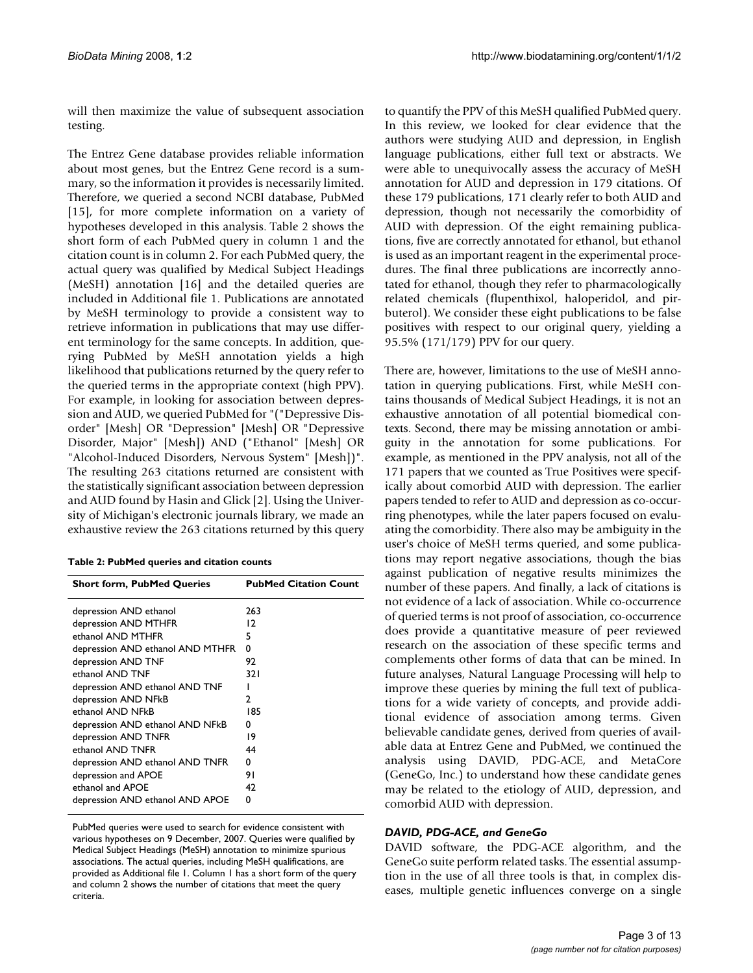will then maximize the value of subsequent association testing.

The Entrez Gene database provides reliable information about most genes, but the Entrez Gene record is a summary, so the information it provides is necessarily limited. Therefore, we queried a second NCBI database, PubMed [15], for more complete information on a variety of hypotheses developed in this analysis. Table 2 shows the short form of each PubMed query in column 1 and the citation count is in column 2. For each PubMed query, the actual query was qualified by Medical Subject Headings (MeSH) annotation [16] and the detailed queries are included in Additional file 1. Publications are annotated by MeSH terminology to provide a consistent way to retrieve information in publications that may use different terminology for the same concepts. In addition, querying PubMed by MeSH annotation yields a high likelihood that publications returned by the query refer to the queried terms in the appropriate context (high PPV). For example, in looking for association between depression and AUD, we queried PubMed for "("Depressive Disorder" [Mesh] OR "Depression" [Mesh] OR "Depressive Disorder, Major" [Mesh]) AND ("Ethanol" [Mesh] OR "Alcohol-Induced Disorders, Nervous System" [Mesh])". The resulting 263 citations returned are consistent with the statistically significant association between depression and AUD found by Hasin and Glick [2]. Using the University of Michigan's electronic journals library, we made an exhaustive review the 263 citations returned by this query

| Table 2: PubMed queries and citation counts |  |  |  |
|---------------------------------------------|--|--|--|
|---------------------------------------------|--|--|--|

| <b>Short form, PubMed Queries</b> | <b>PubMed Citation Count</b> |
|-----------------------------------|------------------------------|
| depression AND ethanol            | 263                          |
| depression AND MTHFR              | 12                           |
| ethanol AND MTHFR                 | 5                            |
| depression AND ethanol AND MTHFR  | 0                            |
| depression AND TNF                | 92                           |
| ethanol AND TNF                   | 32 I                         |
| depression AND ethanol AND TNF    |                              |
| depression AND NFkB               | 2                            |
| ethanol AND NFkB                  | 185                          |
| depression AND ethanol AND NFkB   | 0                            |
| depression AND TNFR               | 19                           |
| ethanol AND TNFR                  | 44                           |
| depression AND ethanol AND TNFR   | 0                            |
| depression and APOE               | 91                           |
| ethanol and APOE                  | 42                           |
| depression AND ethanol AND APOE   | 0                            |

PubMed queries were used to search for evidence consistent with various hypotheses on 9 December, 2007. Queries were qualified by Medical Subject Headings (MeSH) annotation to minimize spurious associations. The actual queries, including MeSH qualifications, are provided as Additional file 1. Column 1 has a short form of the query and column 2 shows the number of citations that meet the query criteria.

to quantify the PPV of this MeSH qualified PubMed query. In this review, we looked for clear evidence that the authors were studying AUD and depression, in English language publications, either full text or abstracts. We were able to unequivocally assess the accuracy of MeSH annotation for AUD and depression in 179 citations. Of these 179 publications, 171 clearly refer to both AUD and depression, though not necessarily the comorbidity of AUD with depression. Of the eight remaining publications, five are correctly annotated for ethanol, but ethanol is used as an important reagent in the experimental procedures. The final three publications are incorrectly annotated for ethanol, though they refer to pharmacologically related chemicals (flupenthixol, haloperidol, and pirbuterol). We consider these eight publications to be false positives with respect to our original query, yielding a 95.5% (171/179) PPV for our query.

There are, however, limitations to the use of MeSH annotation in querying publications. First, while MeSH contains thousands of Medical Subject Headings, it is not an exhaustive annotation of all potential biomedical contexts. Second, there may be missing annotation or ambiguity in the annotation for some publications. For example, as mentioned in the PPV analysis, not all of the 171 papers that we counted as True Positives were specifically about comorbid AUD with depression. The earlier papers tended to refer to AUD and depression as co-occurring phenotypes, while the later papers focused on evaluating the comorbidity. There also may be ambiguity in the user's choice of MeSH terms queried, and some publications may report negative associations, though the bias against publication of negative results minimizes the number of these papers. And finally, a lack of citations is not evidence of a lack of association. While co-occurrence of queried terms is not proof of association, co-occurrence does provide a quantitative measure of peer reviewed research on the association of these specific terms and complements other forms of data that can be mined. In future analyses, Natural Language Processing will help to improve these queries by mining the full text of publications for a wide variety of concepts, and provide additional evidence of association among terms. Given believable candidate genes, derived from queries of available data at Entrez Gene and PubMed, we continued the analysis using DAVID, PDG-ACE, and MetaCore (GeneGo, Inc.) to understand how these candidate genes may be related to the etiology of AUD, depression, and comorbid AUD with depression.

## *DAVID, PDG-ACE, and GeneGo*

DAVID software, the PDG-ACE algorithm, and the GeneGo suite perform related tasks. The essential assumption in the use of all three tools is that, in complex diseases, multiple genetic influences converge on a single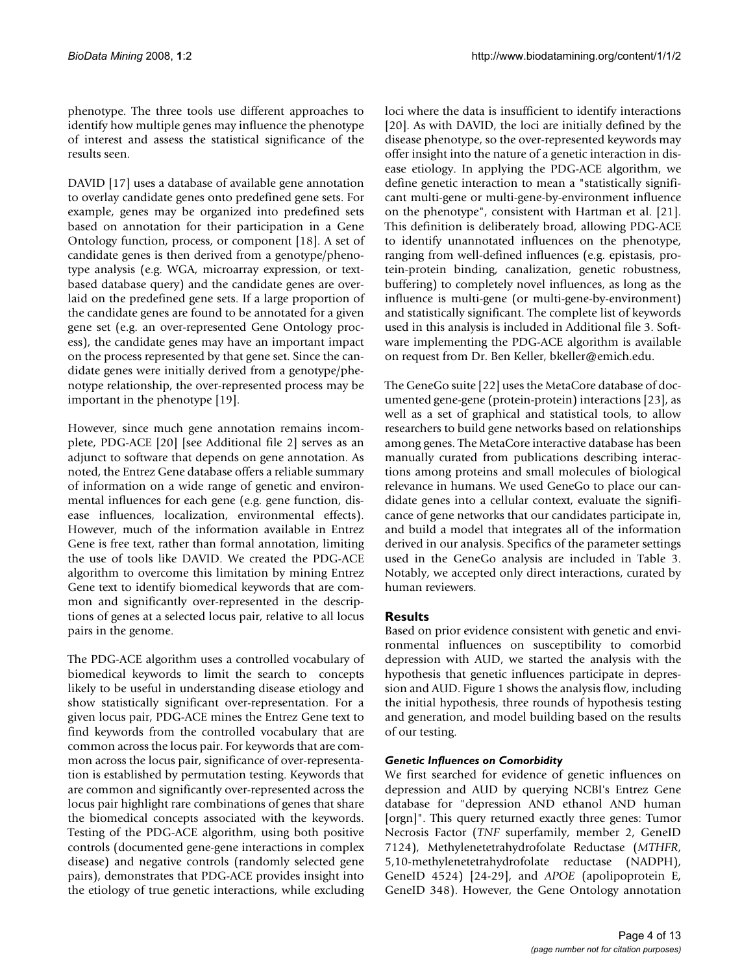phenotype. The three tools use different approaches to identify how multiple genes may influence the phenotype of interest and assess the statistical significance of the results seen.

DAVID [17] uses a database of available gene annotation to overlay candidate genes onto predefined gene sets. For example, genes may be organized into predefined sets based on annotation for their participation in a Gene Ontology function, process, or component [18]. A set of candidate genes is then derived from a genotype/phenotype analysis (e.g. WGA, microarray expression, or textbased database query) and the candidate genes are overlaid on the predefined gene sets. If a large proportion of the candidate genes are found to be annotated for a given gene set (e.g. an over-represented Gene Ontology process), the candidate genes may have an important impact on the process represented by that gene set. Since the candidate genes were initially derived from a genotype/phenotype relationship, the over-represented process may be important in the phenotype [19].

However, since much gene annotation remains incomplete, PDG-ACE [20] [see Additional file 2] serves as an adjunct to software that depends on gene annotation. As noted, the Entrez Gene database offers a reliable summary of information on a wide range of genetic and environmental influences for each gene (e.g. gene function, disease influences, localization, environmental effects). However, much of the information available in Entrez Gene is free text, rather than formal annotation, limiting the use of tools like DAVID. We created the PDG-ACE algorithm to overcome this limitation by mining Entrez Gene text to identify biomedical keywords that are common and significantly over-represented in the descriptions of genes at a selected locus pair, relative to all locus pairs in the genome.

The PDG-ACE algorithm uses a controlled vocabulary of biomedical keywords to limit the search to concepts likely to be useful in understanding disease etiology and show statistically significant over-representation. For a given locus pair, PDG-ACE mines the Entrez Gene text to find keywords from the controlled vocabulary that are common across the locus pair. For keywords that are common across the locus pair, significance of over-representation is established by permutation testing. Keywords that are common and significantly over-represented across the locus pair highlight rare combinations of genes that share the biomedical concepts associated with the keywords. Testing of the PDG-ACE algorithm, using both positive controls (documented gene-gene interactions in complex disease) and negative controls (randomly selected gene pairs), demonstrates that PDG-ACE provides insight into the etiology of true genetic interactions, while excluding loci where the data is insufficient to identify interactions [20]. As with DAVID, the loci are initially defined by the disease phenotype, so the over-represented keywords may offer insight into the nature of a genetic interaction in disease etiology. In applying the PDG-ACE algorithm, we define genetic interaction to mean a "statistically significant multi-gene or multi-gene-by-environment influence on the phenotype", consistent with Hartman et al. [21]. This definition is deliberately broad, allowing PDG-ACE to identify unannotated influences on the phenotype, ranging from well-defined influences (e.g. epistasis, protein-protein binding, canalization, genetic robustness, buffering) to completely novel influences, as long as the influence is multi-gene (or multi-gene-by-environment) and statistically significant. The complete list of keywords used in this analysis is included in Additional file 3. Software implementing the PDG-ACE algorithm is available on request from Dr. Ben Keller, bkeller@emich.edu.

The GeneGo suite [22] uses the MetaCore database of documented gene-gene (protein-protein) interactions [23], as well as a set of graphical and statistical tools, to allow researchers to build gene networks based on relationships among genes. The MetaCore interactive database has been manually curated from publications describing interactions among proteins and small molecules of biological relevance in humans. We used GeneGo to place our candidate genes into a cellular context, evaluate the significance of gene networks that our candidates participate in, and build a model that integrates all of the information derived in our analysis. Specifics of the parameter settings used in the GeneGo analysis are included in Table 3. Notably, we accepted only direct interactions, curated by human reviewers.

## **Results**

Based on prior evidence consistent with genetic and environmental influences on susceptibility to comorbid depression with AUD, we started the analysis with the hypothesis that genetic influences participate in depression and AUD. Figure 1 shows the analysis flow, including the initial hypothesis, three rounds of hypothesis testing and generation, and model building based on the results of our testing.

## *Genetic Influences on Comorbidity*

We first searched for evidence of genetic influences on depression and AUD by querying NCBI's Entrez Gene database for "depression AND ethanol AND human [orgn]". This query returned exactly three genes: Tumor Necrosis Factor (*TNF* superfamily, member 2, GeneID 7124), Methylenetetrahydrofolate Reductase (*MTHFR*, 5,10-methylenetetrahydrofolate reductase (NADPH), GeneID 4524) [24-29], and *APOE* (apolipoprotein E, GeneID 348). However, the Gene Ontology annotation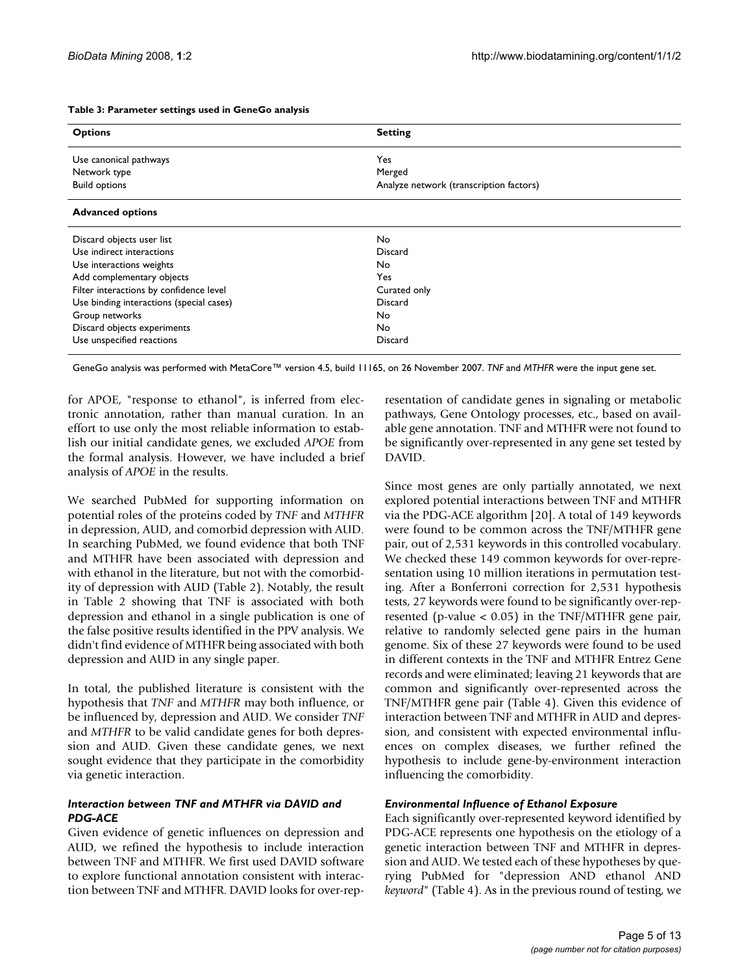| <b>Options</b>                           | <b>Setting</b>                          |
|------------------------------------------|-----------------------------------------|
| Use canonical pathways                   | Yes                                     |
| Network type                             | Merged                                  |
| <b>Build options</b>                     | Analyze network (transcription factors) |
| <b>Advanced options</b>                  |                                         |
| Discard objects user list                | No.                                     |
| Use indirect interactions                | Discard                                 |
| Use interactions weights                 | No.                                     |
| Add complementary objects                | Yes                                     |
| Filter interactions by confidence level  | Curated only                            |
| Use binding interactions (special cases) | Discard                                 |
| Group networks                           | No.                                     |
| Discard objects experiments              | <b>No</b>                               |
| Use unspecified reactions                | <b>Discard</b>                          |

#### **Table 3: Parameter settings used in GeneGo analysis**

GeneGo analysis was performed with MetaCore™ version 4.5, build 11165, on 26 November 2007. *TNF* and *MTHFR* were the input gene set.

for APOE, "response to ethanol", is inferred from electronic annotation, rather than manual curation. In an effort to use only the most reliable information to establish our initial candidate genes, we excluded *APOE* from the formal analysis. However, we have included a brief analysis of *APOE* in the results.

We searched PubMed for supporting information on potential roles of the proteins coded by *TNF* and *MTHFR* in depression, AUD, and comorbid depression with AUD. In searching PubMed, we found evidence that both TNF and MTHFR have been associated with depression and with ethanol in the literature, but not with the comorbidity of depression with AUD (Table 2). Notably, the result in Table 2 showing that TNF is associated with both depression and ethanol in a single publication is one of the false positive results identified in the PPV analysis. We didn't find evidence of MTHFR being associated with both depression and AUD in any single paper.

In total, the published literature is consistent with the hypothesis that *TNF* and *MTHFR* may both influence, or be influenced by, depression and AUD. We consider *TNF* and *MTHFR* to be valid candidate genes for both depression and AUD. Given these candidate genes, we next sought evidence that they participate in the comorbidity via genetic interaction.

### *Interaction between TNF and MTHFR via DAVID and PDG-ACE*

Given evidence of genetic influences on depression and AUD, we refined the hypothesis to include interaction between TNF and MTHFR. We first used DAVID software to explore functional annotation consistent with interaction between TNF and MTHFR. DAVID looks for over-representation of candidate genes in signaling or metabolic pathways, Gene Ontology processes, etc., based on available gene annotation. TNF and MTHFR were not found to be significantly over-represented in any gene set tested by DAVID.

Since most genes are only partially annotated, we next explored potential interactions between TNF and MTHFR via the PDG-ACE algorithm [20]. A total of 149 keywords were found to be common across the TNF/MTHFR gene pair, out of 2,531 keywords in this controlled vocabulary. We checked these 149 common keywords for over-representation using 10 million iterations in permutation testing. After a Bonferroni correction for 2,531 hypothesis tests, 27 keywords were found to be significantly over-represented (p-value < 0.05) in the TNF/MTHFR gene pair, relative to randomly selected gene pairs in the human genome. Six of these 27 keywords were found to be used in different contexts in the TNF and MTHFR Entrez Gene records and were eliminated; leaving 21 keywords that are common and significantly over-represented across the TNF/MTHFR gene pair (Table 4). Given this evidence of interaction between TNF and MTHFR in AUD and depression, and consistent with expected environmental influences on complex diseases, we further refined the hypothesis to include gene-by-environment interaction influencing the comorbidity.

#### *Environmental Influence of Ethanol Exposure*

Each significantly over-represented keyword identified by PDG-ACE represents one hypothesis on the etiology of a genetic interaction between TNF and MTHFR in depression and AUD. We tested each of these hypotheses by querying PubMed for "depression AND ethanol AND *keyword*" (Table 4). As in the previous round of testing, we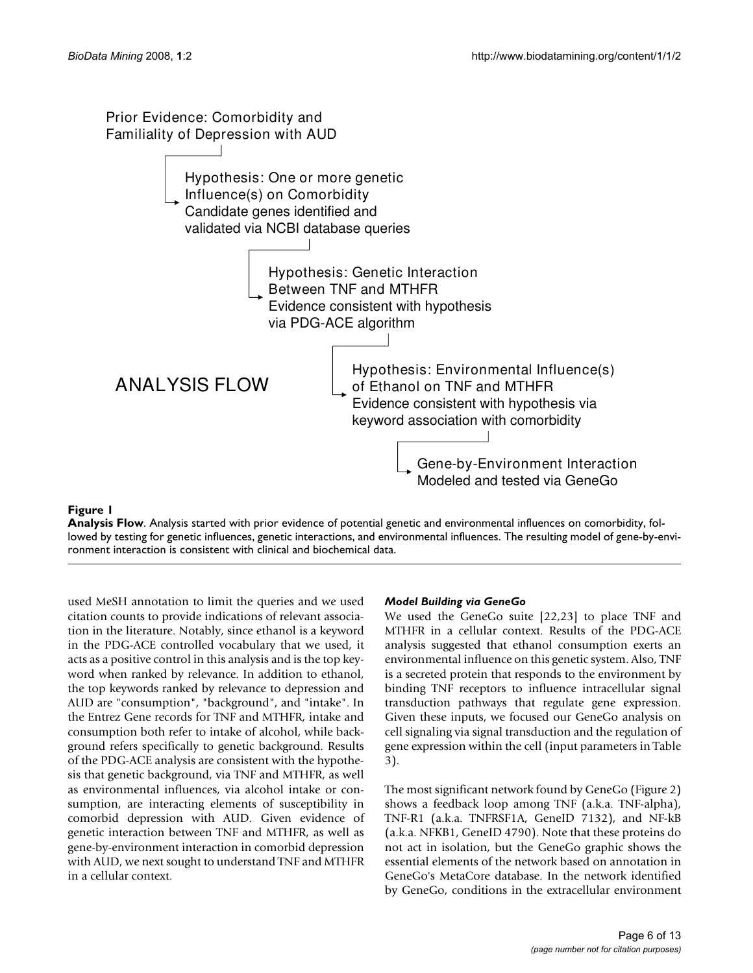

## **Figure 1**

**Analysis Flow**. Analysis started with prior evidence of potential genetic and environmental influences on comorbidity, followed by testing for genetic influences, genetic interactions, and environmental influences. The resulting model of gene-by-environment interaction is consistent with clinical and biochemical data.

used MeSH annotation to limit the queries and we used citation counts to provide indications of relevant association in the literature. Notably, since ethanol is a keyword in the PDG-ACE controlled vocabulary that we used, it acts as a positive control in this analysis and is the top keyword when ranked by relevance. In addition to ethanol, the top keywords ranked by relevance to depression and AUD are "consumption", "background", and "intake". In the Entrez Gene records for TNF and MTHFR, intake and consumption both refer to intake of alcohol, while background refers specifically to genetic background. Results of the PDG-ACE analysis are consistent with the hypothesis that genetic background, via TNF and MTHFR, as well as environmental influences, via alcohol intake or consumption, are interacting elements of susceptibility in comorbid depression with AUD. Given evidence of genetic interaction between TNF and MTHFR, as well as gene-by-environment interaction in comorbid depression with AUD, we next sought to understand TNF and MTHFR in a cellular context.

#### *Model Building via GeneGo*

We used the GeneGo suite [22,23] to place TNF and MTHFR in a cellular context. Results of the PDG-ACE analysis suggested that ethanol consumption exerts an environmental influence on this genetic system. Also, TNF is a secreted protein that responds to the environment by binding TNF receptors to influence intracellular signal transduction pathways that regulate gene expression. Given these inputs, we focused our GeneGo analysis on cell signaling via signal transduction and the regulation of gene expression within the cell (input parameters in Table 3).

The most significant network found by GeneGo (Figure 2) shows a feedback loop among TNF (a.k.a. TNF-alpha), TNF-R1 (a.k.a. TNFRSF1A, GeneID 7132), and NF-kB (a.k.a. NFKB1, GeneID 4790). Note that these proteins do not act in isolation, but the GeneGo graphic shows the essential elements of the network based on annotation in GeneGo's MetaCore database. In the network identified by GeneGo, conditions in the extracellular environment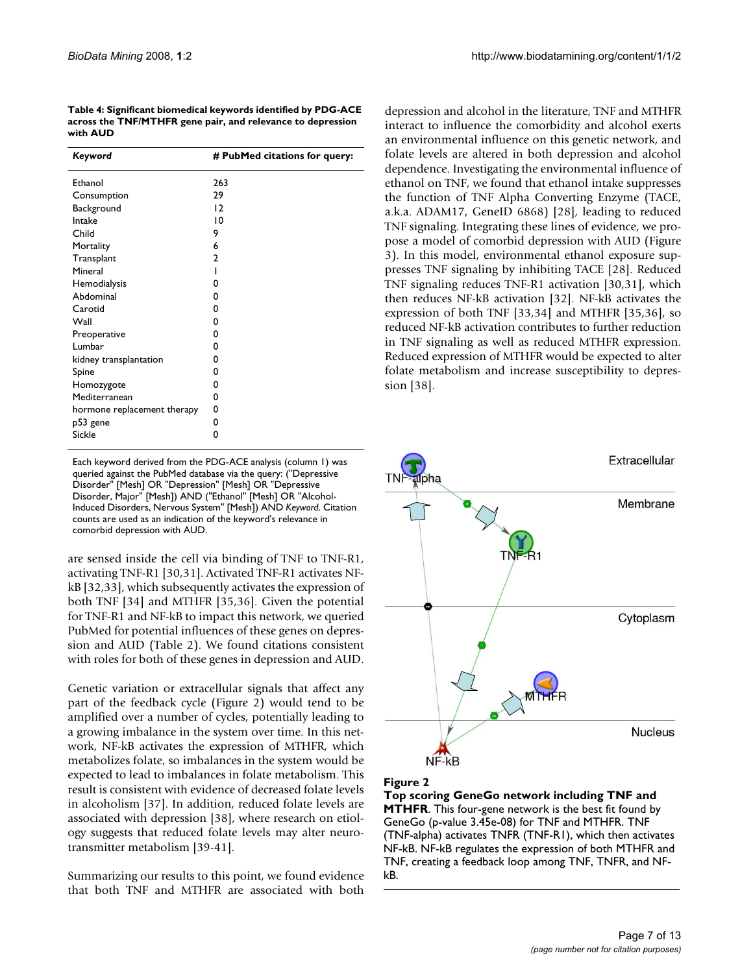**Table 4: Significant biomedical keywords identified by PDG-ACE across the TNF/MTHFR gene pair, and relevance to depression with AUD**

| Keyword                     | # PubMed citations for query: |
|-----------------------------|-------------------------------|
| Ethanol                     | 263                           |
| Consumption                 | 29                            |
| Background                  | 12                            |
| Intake                      | 10                            |
| Child                       | 9                             |
| Mortality                   | 6                             |
| Transplant                  | 2                             |
| Mineral                     |                               |
| Hemodialysis                | O                             |
| Abdominal                   | O                             |
| Carotid                     | 0                             |
| Wall                        | 0                             |
| Preoperative                | 0                             |
| Lumbar                      | 0                             |
| kidney transplantation      | 0                             |
| Spine                       | 0                             |
| Homozygote                  | 0                             |
| Mediterranean               | 0                             |
| hormone replacement therapy | 0                             |
| p53 gene                    | 0                             |
| Sickle                      | 0                             |
|                             |                               |

Each keyword derived from the PDG-ACE analysis (column 1) was queried against the PubMed database via the query: ("Depressive Disorder" [Mesh] OR "Depression" [Mesh] OR "Depressive Disorder, Major" [Mesh]) AND ("Ethanol" [Mesh] OR "Alcohol-Induced Disorders, Nervous System" [Mesh]) AND *Keyword*. Citation counts are used as an indication of the keyword's relevance in comorbid depression with AUD.

are sensed inside the cell via binding of TNF to TNF-R1, activating TNF-R1 [30,31]. Activated TNF-R1 activates NFkB [32,33], which subsequently activates the expression of both TNF [34] and MTHFR [35,36]. Given the potential for TNF-R1 and NF-kB to impact this network, we queried PubMed for potential influences of these genes on depression and AUD (Table 2). We found citations consistent with roles for both of these genes in depression and AUD.

Genetic variation or extracellular signals that affect any part of the feedback cycle (Figure 2) would tend to be amplified over a number of cycles, potentially leading to a growing imbalance in the system over time. In this network, NF-kB activates the expression of MTHFR, which metabolizes folate, so imbalances in the system would be expected to lead to imbalances in folate metabolism. This result is consistent with evidence of decreased folate levels in alcoholism [37]. In addition, reduced folate levels are associated with depression [38], where research on etiology suggests that reduced folate levels may alter neurotransmitter metabolism [39-41].

Summarizing our results to this point, we found evidence that both TNF and MTHFR are associated with both

depression and alcohol in the literature, TNF and MTHFR interact to influence the comorbidity and alcohol exerts an environmental influence on this genetic network, and folate levels are altered in both depression and alcohol dependence. Investigating the environmental influence of ethanol on TNF, we found that ethanol intake suppresses the function of TNF Alpha Converting Enzyme (TACE, a.k.a. ADAM17, GeneID 6868) [28], leading to reduced TNF signaling. Integrating these lines of evidence, we propose a model of comorbid depression with AUD (Figure 3). In this model, environmental ethanol exposure suppresses TNF signaling by inhibiting TACE [28]. Reduced TNF signaling reduces TNF-R1 activation [30,31], which then reduces NF-kB activation [32]. NF-kB activates the expression of both TNF [33,34] and MTHFR [35,36], so reduced NF-kB activation contributes to further reduction in TNF signaling as well as reduced MTHFR expression. Reduced expression of MTHFR would be expected to alter folate metabolism and increase susceptibility to depression [38].



#### Figure 2

**Top scoring GeneGo network including TNF and MTHFR**. This four-gene network is the best fit found by GeneGo (p-value 3.45e-08) for TNF and MTHFR. TNF (TNF-alpha) activates TNFR (TNF-R1), which then activates NF-kB. NF-kB regulates the expression of both MTHFR and TNF, creating a feedback loop among TNF, TNFR, and NFkB.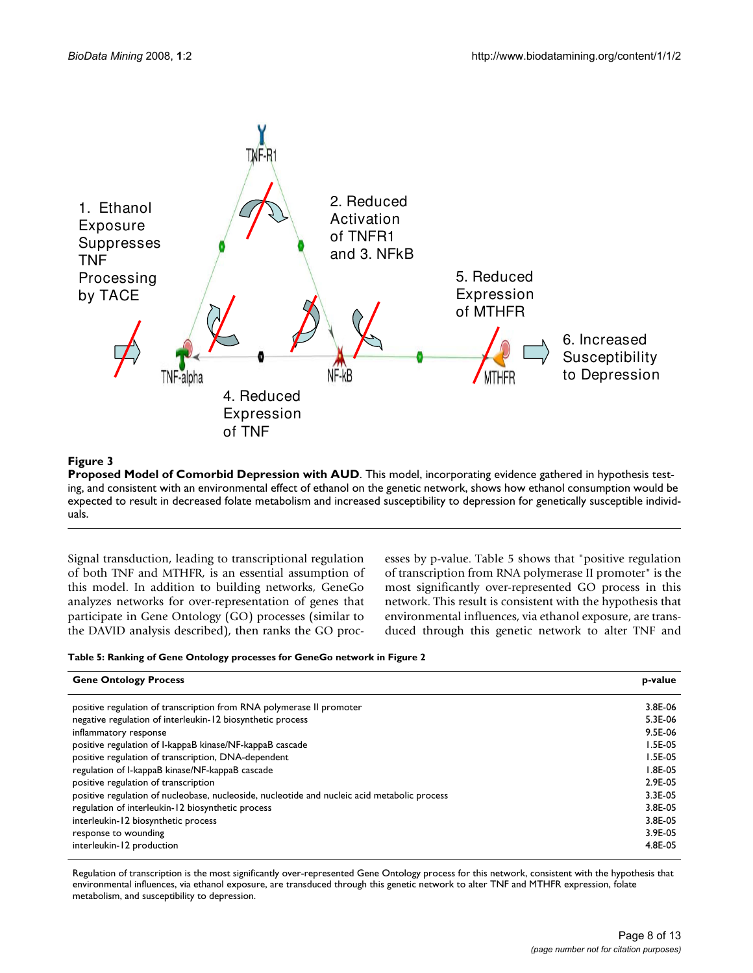

#### **Figure 3**

**Proposed Model of Comorbid Depression with AUD**. This model, incorporating evidence gathered in hypothesis testing, and consistent with an environmental effect of ethanol on the genetic network, shows how ethanol consumption would be expected to result in decreased folate metabolism and increased susceptibility to depression for genetically susceptible individuals.

Signal transduction, leading to transcriptional regulation of both TNF and MTHFR, is an essential assumption of this model. In addition to building networks, GeneGo analyzes networks for over-representation of genes that participate in Gene Ontology (GO) processes (similar to the DAVID analysis described), then ranks the GO processes by p-value. Table 5 shows that "positive regulation of transcription from RNA polymerase II promoter" is the most significantly over-represented GO process in this network. This result is consistent with the hypothesis that environmental influences, via ethanol exposure, are transduced through this genetic network to alter TNF and

|  |  | Table 5: Ranking of Gene Ontology processes for GeneGo network in Figure 2 |  |
|--|--|----------------------------------------------------------------------------|--|
|--|--|----------------------------------------------------------------------------|--|

| <b>Gene Ontology Process</b>                                                                 | p-value        |
|----------------------------------------------------------------------------------------------|----------------|
| positive regulation of transcription from RNA polymerase II promoter                         | 3.8E-06        |
| negative regulation of interleukin-12 biosynthetic process                                   | 5.3E-06        |
| inflammatory response                                                                        | 9.5E-06        |
| positive regulation of I-kappaB kinase/NF-kappaB cascade                                     | <b>I.5E-05</b> |
| positive regulation of transcription, DNA-dependent                                          | 1.5E-05        |
| regulation of I-kappaB kinase/NF-kappaB cascade                                              | I.8E-05        |
| positive regulation of transcription                                                         | 2.9E-05        |
| positive regulation of nucleobase, nucleoside, nucleotide and nucleic acid metabolic process | 3.3E-05        |
| regulation of interleukin-12 biosynthetic process                                            | 3.8E-05        |
| interleukin-12 biosynthetic process                                                          | 3.8E-05        |
| response to wounding                                                                         | 3.9E-05        |
| interleukin-12 production                                                                    | 4.8E-05        |

Regulation of transcription is the most significantly over-represented Gene Ontology process for this network, consistent with the hypothesis that environmental influences, via ethanol exposure, are transduced through this genetic network to alter TNF and MTHFR expression, folate metabolism, and susceptibility to depression.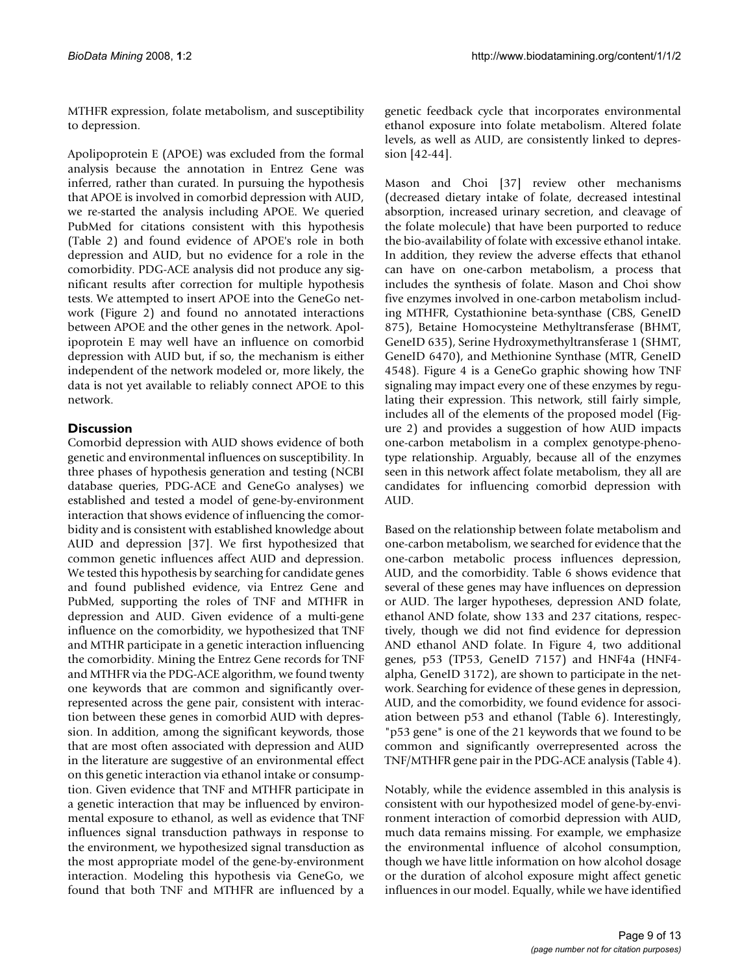MTHFR expression, folate metabolism, and susceptibility to depression.

Apolipoprotein E (APOE) was excluded from the formal analysis because the annotation in Entrez Gene was inferred, rather than curated. In pursuing the hypothesis that APOE is involved in comorbid depression with AUD, we re-started the analysis including APOE. We queried PubMed for citations consistent with this hypothesis (Table 2) and found evidence of APOE's role in both depression and AUD, but no evidence for a role in the comorbidity. PDG-ACE analysis did not produce any significant results after correction for multiple hypothesis tests. We attempted to insert APOE into the GeneGo network (Figure 2) and found no annotated interactions between APOE and the other genes in the network. Apolipoprotein E may well have an influence on comorbid depression with AUD but, if so, the mechanism is either independent of the network modeled or, more likely, the data is not yet available to reliably connect APOE to this network.

## **Discussion**

Comorbid depression with AUD shows evidence of both genetic and environmental influences on susceptibility. In three phases of hypothesis generation and testing (NCBI database queries, PDG-ACE and GeneGo analyses) we established and tested a model of gene-by-environment interaction that shows evidence of influencing the comorbidity and is consistent with established knowledge about AUD and depression [37]. We first hypothesized that common genetic influences affect AUD and depression. We tested this hypothesis by searching for candidate genes and found published evidence, via Entrez Gene and PubMed, supporting the roles of TNF and MTHFR in depression and AUD. Given evidence of a multi-gene influence on the comorbidity, we hypothesized that TNF and MTHR participate in a genetic interaction influencing the comorbidity. Mining the Entrez Gene records for TNF and MTHFR via the PDG-ACE algorithm, we found twenty one keywords that are common and significantly overrepresented across the gene pair, consistent with interaction between these genes in comorbid AUD with depression. In addition, among the significant keywords, those that are most often associated with depression and AUD in the literature are suggestive of an environmental effect on this genetic interaction via ethanol intake or consumption. Given evidence that TNF and MTHFR participate in a genetic interaction that may be influenced by environmental exposure to ethanol, as well as evidence that TNF influences signal transduction pathways in response to the environment, we hypothesized signal transduction as the most appropriate model of the gene-by-environment interaction. Modeling this hypothesis via GeneGo, we found that both TNF and MTHFR are influenced by a

genetic feedback cycle that incorporates environmental ethanol exposure into folate metabolism. Altered folate levels, as well as AUD, are consistently linked to depression [42-44].

Mason and Choi [37] review other mechanisms (decreased dietary intake of folate, decreased intestinal absorption, increased urinary secretion, and cleavage of the folate molecule) that have been purported to reduce the bio-availability of folate with excessive ethanol intake. In addition, they review the adverse effects that ethanol can have on one-carbon metabolism, a process that includes the synthesis of folate. Mason and Choi show five enzymes involved in one-carbon metabolism including MTHFR, Cystathionine beta-synthase (CBS, GeneID 875), Betaine Homocysteine Methyltransferase (BHMT, GeneID 635), Serine Hydroxymethyltransferase 1 (SHMT, GeneID 6470), and Methionine Synthase (MTR, GeneID 4548). Figure 4 is a GeneGo graphic showing how TNF signaling may impact every one of these enzymes by regulating their expression. This network, still fairly simple, includes all of the elements of the proposed model (Figure 2) and provides a suggestion of how AUD impacts one-carbon metabolism in a complex genotype-phenotype relationship. Arguably, because all of the enzymes seen in this network affect folate metabolism, they all are candidates for influencing comorbid depression with AUD.

Based on the relationship between folate metabolism and one-carbon metabolism, we searched for evidence that the one-carbon metabolic process influences depression, AUD, and the comorbidity. Table 6 shows evidence that several of these genes may have influences on depression or AUD. The larger hypotheses, depression AND folate, ethanol AND folate, show 133 and 237 citations, respectively, though we did not find evidence for depression AND ethanol AND folate. In Figure 4, two additional genes, p53 (TP53, GeneID 7157) and HNF4a (HNF4 alpha, GeneID 3172), are shown to participate in the network. Searching for evidence of these genes in depression, AUD, and the comorbidity, we found evidence for association between p53 and ethanol (Table 6). Interestingly, "p53 gene" is one of the 21 keywords that we found to be common and significantly overrepresented across the TNF/MTHFR gene pair in the PDG-ACE analysis (Table 4).

Notably, while the evidence assembled in this analysis is consistent with our hypothesized model of gene-by-environment interaction of comorbid depression with AUD, much data remains missing. For example, we emphasize the environmental influence of alcohol consumption, though we have little information on how alcohol dosage or the duration of alcohol exposure might affect genetic influences in our model. Equally, while we have identified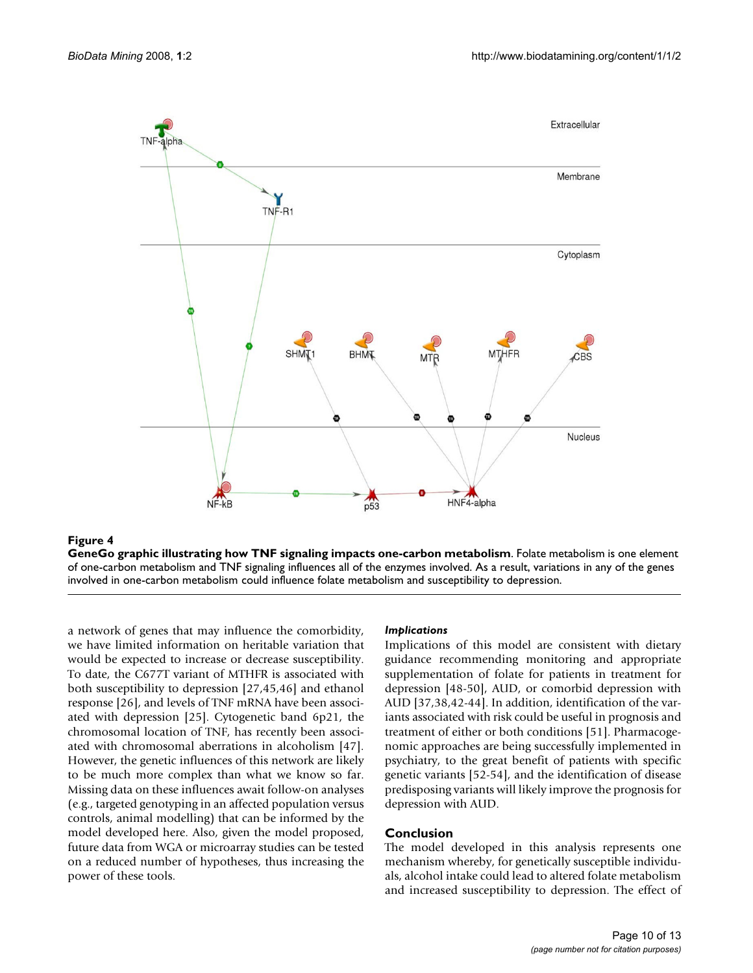

#### Figure 4

**GeneGo graphic illustrating how TNF signaling impacts one-carbon metabolism**. Folate metabolism is one element of one-carbon metabolism and TNF signaling influences all of the enzymes involved. As a result, variations in any of the genes involved in one-carbon metabolism could influence folate metabolism and susceptibility to depression.

a network of genes that may influence the comorbidity, we have limited information on heritable variation that would be expected to increase or decrease susceptibility. To date, the C677T variant of MTHFR is associated with both susceptibility to depression [27,45,46] and ethanol response [26], and levels of TNF mRNA have been associated with depression [25]. Cytogenetic band 6p21, the chromosomal location of TNF, has recently been associated with chromosomal aberrations in alcoholism [47]. However, the genetic influences of this network are likely to be much more complex than what we know so far. Missing data on these influences await follow-on analyses (e.g., targeted genotyping in an affected population versus controls, animal modelling) that can be informed by the model developed here. Also, given the model proposed, future data from WGA or microarray studies can be tested on a reduced number of hypotheses, thus increasing the power of these tools.

#### *Implications*

Implications of this model are consistent with dietary guidance recommending monitoring and appropriate supplementation of folate for patients in treatment for depression [48-50], AUD, or comorbid depression with AUD [37,38,42-44]. In addition, identification of the variants associated with risk could be useful in prognosis and treatment of either or both conditions [51]. Pharmacogenomic approaches are being successfully implemented in psychiatry, to the great benefit of patients with specific genetic variants [52-54], and the identification of disease predisposing variants will likely improve the prognosis for depression with AUD.

#### **Conclusion**

The model developed in this analysis represents one mechanism whereby, for genetically susceptible individuals, alcohol intake could lead to altered folate metabolism and increased susceptibility to depression. The effect of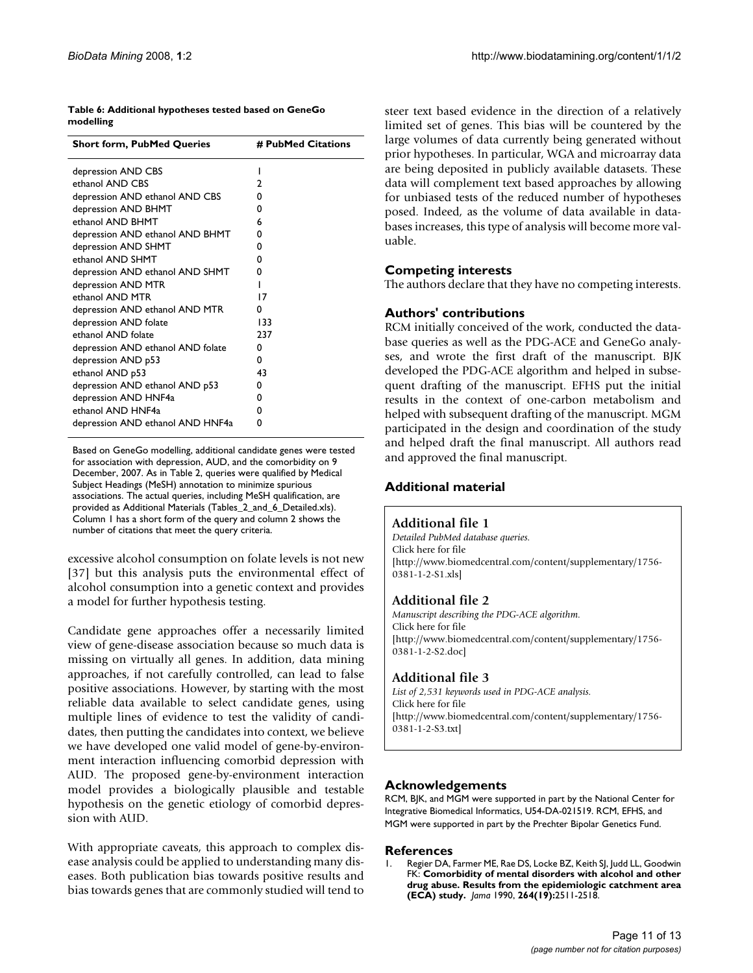**Table 6: Additional hypotheses tested based on GeneGo modelling**

| <b>Short form, PubMed Queries</b> | # PubMed Citations |
|-----------------------------------|--------------------|
| depression AND CBS                | ı                  |
| ethanol AND CBS                   | 2                  |
| depression AND ethanol AND CBS    | O                  |
| depression AND BHMT               | O                  |
| ethanol AND BHMT                  | 6                  |
| depression AND ethanol AND BHMT   | 0                  |
| depression AND SHMT               | 0                  |
| ethanol AND SHMT                  | O                  |
| depression AND ethanol AND SHMT   | O                  |
| depression AND MTR                | ı                  |
| ethanol AND MTR                   | 17                 |
| depression AND ethanol AND MTR    | O                  |
| depression AND folate             | 133                |
| ethanol AND folate                | 237                |
| depression AND ethanol AND folate | 0                  |
| depression AND p53                | n                  |
| ethanol AND p53                   | 43                 |
| depression AND ethanol AND p53    | 0                  |
| depression AND HNF4a              | O                  |
| ethanol AND HNF4a                 | O                  |
| depression AND ethanol AND HNF4a  | 0                  |

Based on GeneGo modelling, additional candidate genes were tested for association with depression, AUD, and the comorbidity on 9 December, 2007. As in Table 2, queries were qualified by Medical Subject Headings (MeSH) annotation to minimize spurious associations. The actual queries, including MeSH qualification, are provided as Additional Materials (Tables\_2\_and\_6\_Detailed.xls). Column 1 has a short form of the query and column 2 shows the number of citations that meet the query criteria.

excessive alcohol consumption on folate levels is not new [37] but this analysis puts the environmental effect of alcohol consumption into a genetic context and provides a model for further hypothesis testing.

Candidate gene approaches offer a necessarily limited view of gene-disease association because so much data is missing on virtually all genes. In addition, data mining approaches, if not carefully controlled, can lead to false positive associations. However, by starting with the most reliable data available to select candidate genes, using multiple lines of evidence to test the validity of candidates, then putting the candidates into context, we believe we have developed one valid model of gene-by-environment interaction influencing comorbid depression with AUD. The proposed gene-by-environment interaction model provides a biologically plausible and testable hypothesis on the genetic etiology of comorbid depression with AUD.

With appropriate caveats, this approach to complex disease analysis could be applied to understanding many diseases. Both publication bias towards positive results and bias towards genes that are commonly studied will tend to steer text based evidence in the direction of a relatively limited set of genes. This bias will be countered by the large volumes of data currently being generated without prior hypotheses. In particular, WGA and microarray data are being deposited in publicly available datasets. These data will complement text based approaches by allowing for unbiased tests of the reduced number of hypotheses posed. Indeed, as the volume of data available in databases increases, this type of analysis will become more valuable.

## **Competing interests**

The authors declare that they have no competing interests.

## **Authors' contributions**

RCM initially conceived of the work, conducted the database queries as well as the PDG-ACE and GeneGo analyses, and wrote the first draft of the manuscript. BJK developed the PDG-ACE algorithm and helped in subsequent drafting of the manuscript. EFHS put the initial results in the context of one-carbon metabolism and helped with subsequent drafting of the manuscript. MGM participated in the design and coordination of the study and helped draft the final manuscript. All authors read and approved the final manuscript.

## **Additional material**

## **Additional file 1**

*Detailed PubMed database queries.* Click here for file [\[http://www.biomedcentral.com/content/supplementary/1756-](http://www.biomedcentral.com/content/supplementary/1756-0381-1-2-S1.xls) 0381-1-2-S1.xls]

## **Additional file 2**

*Manuscript describing the PDG-ACE algorithm.* Click here for file [\[http://www.biomedcentral.com/content/supplementary/1756-](http://www.biomedcentral.com/content/supplementary/1756-0381-1-2-S2.doc) 0381-1-2-S2.doc]

## **Additional file 3**

*List of 2,531 keywords used in PDG-ACE analysis.* Click here for file [\[http://www.biomedcentral.com/content/supplementary/1756-](http://www.biomedcentral.com/content/supplementary/1756-0381-1-2-S3.txt) 0381-1-2-S3.txt]

## **Acknowledgements**

RCM, BJK, and MGM were supported in part by the National Center for Integrative Biomedical Informatics, U54-DA-021519. RCM, EFHS, and MGM were supported in part by the Prechter Bipolar Genetics Fund.

## **References**

1. Regier DA, Farmer ME, Rae DS, Locke BZ, Keith SJ, Judd LL, Goodwin FK: **[Comorbidity of mental disorders with alcohol and other](http://www.ncbi.nlm.nih.gov/entrez/query.fcgi?cmd=Retrieve&db=PubMed&dopt=Abstract&list_uids=2232018) [drug abuse. Results from the epidemiologic catchment area](http://www.ncbi.nlm.nih.gov/entrez/query.fcgi?cmd=Retrieve&db=PubMed&dopt=Abstract&list_uids=2232018) [\(ECA\) study.](http://www.ncbi.nlm.nih.gov/entrez/query.fcgi?cmd=Retrieve&db=PubMed&dopt=Abstract&list_uids=2232018)** *Jama* 1990, **264(19):**2511-2518.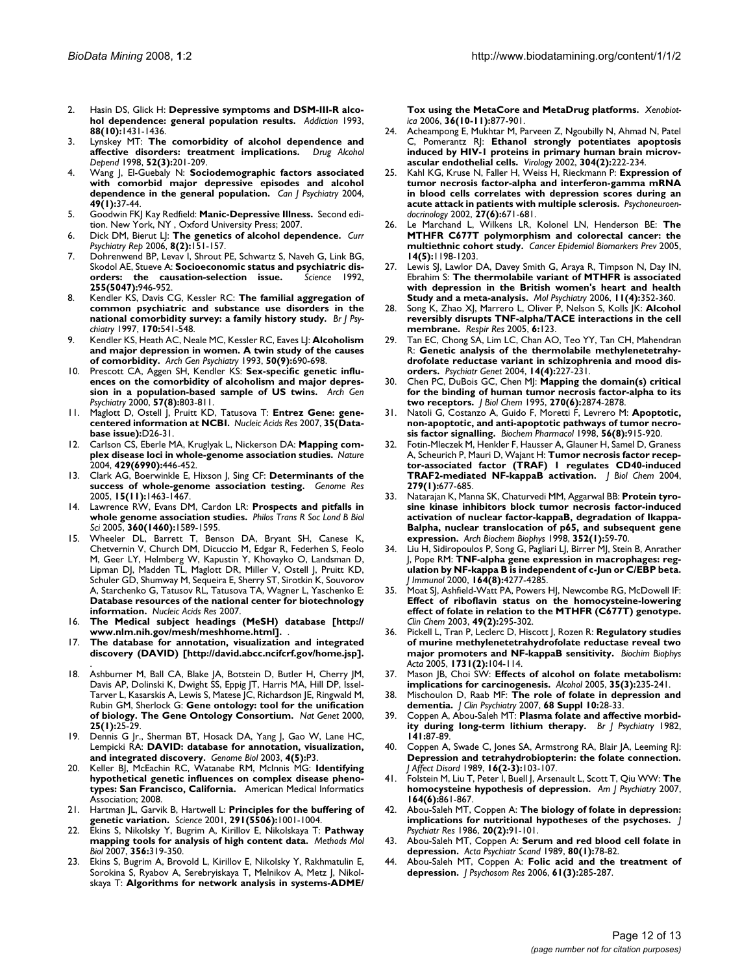- 2. Hasin DS, Glick H: **[Depressive symptoms and DSM-III-R alco](http://www.ncbi.nlm.nih.gov/entrez/query.fcgi?cmd=Retrieve&db=PubMed&dopt=Abstract&list_uids=8251881)[hol dependence: general population results.](http://www.ncbi.nlm.nih.gov/entrez/query.fcgi?cmd=Retrieve&db=PubMed&dopt=Abstract&list_uids=8251881)** *Addiction* 1993, **88(10):**1431-1436.
- 3. Lynskey MT: **[The comorbidity of alcohol dependence and](http://www.ncbi.nlm.nih.gov/entrez/query.fcgi?cmd=Retrieve&db=PubMed&dopt=Abstract&list_uids=9839146) [affective disorders: treatment implications.](http://www.ncbi.nlm.nih.gov/entrez/query.fcgi?cmd=Retrieve&db=PubMed&dopt=Abstract&list_uids=9839146)** *Drug Alcohol Depend* 1998, **52(3):**201-209.
- 4. Wang J, El-Guebaly N: **[Sociodemographic factors associated](http://www.ncbi.nlm.nih.gov/entrez/query.fcgi?cmd=Retrieve&db=PubMed&dopt=Abstract&list_uids=14763676) [with comorbid major depressive episodes and alcohol](http://www.ncbi.nlm.nih.gov/entrez/query.fcgi?cmd=Retrieve&db=PubMed&dopt=Abstract&list_uids=14763676) [dependence in the general population.](http://www.ncbi.nlm.nih.gov/entrez/query.fcgi?cmd=Retrieve&db=PubMed&dopt=Abstract&list_uids=14763676)** *Can J Psychiatry* 2004, **49(1):**37-44.
- 5. Goodwin FKJ Kay Redfield: **Manic-Depressive Illness.** Second edition. New York, NY , Oxford University Press; 2007.
- 6. Dick DM, Bierut LJ: **[The genetics of alcohol dependence.](http://www.ncbi.nlm.nih.gov/entrez/query.fcgi?cmd=Retrieve&db=PubMed&dopt=Abstract&list_uids=16539893)** *Curr Psychiatry Rep* 2006, **8(2):**151-157.
- 7. Dohrenwend BP, Levav I, Shrout PE, Schwartz S, Naveh G, Link BG, Skodol AE, Stueve A: **[Socioeconomic status and psychiatric dis](http://www.ncbi.nlm.nih.gov/entrez/query.fcgi?cmd=Retrieve&db=PubMed&dopt=Abstract&list_uids=1546291)**[orders: the causation-selection issue.](http://www.ncbi.nlm.nih.gov/entrez/query.fcgi?cmd=Retrieve&db=PubMed&dopt=Abstract&list_uids=1546291) **255(5047):**946-952.
- 8. Kendler KS, Davis CG, Kessler RC: **[The familial aggregation of](http://www.ncbi.nlm.nih.gov/entrez/query.fcgi?cmd=Retrieve&db=PubMed&dopt=Abstract&list_uids=9330021) [common psychiatric and substance use disorders in the](http://www.ncbi.nlm.nih.gov/entrez/query.fcgi?cmd=Retrieve&db=PubMed&dopt=Abstract&list_uids=9330021) [national comorbidity survey: a family history study.](http://www.ncbi.nlm.nih.gov/entrez/query.fcgi?cmd=Retrieve&db=PubMed&dopt=Abstract&list_uids=9330021)** *Br J Psychiatry* 1997, **170:**541-548.
- 9. Kendler KS, Heath AC, Neale MC, Kessler RC, Eaves LJ: **[Alcoholism](http://www.ncbi.nlm.nih.gov/entrez/query.fcgi?cmd=Retrieve&db=PubMed&dopt=Abstract&list_uids=8357294) [and major depression in women. A twin study of the causes](http://www.ncbi.nlm.nih.gov/entrez/query.fcgi?cmd=Retrieve&db=PubMed&dopt=Abstract&list_uids=8357294) [of comorbidity.](http://www.ncbi.nlm.nih.gov/entrez/query.fcgi?cmd=Retrieve&db=PubMed&dopt=Abstract&list_uids=8357294)** *Arch Gen Psychiatry* 1993, **50(9):**690-698.
- 10. Prescott CA, Aggen SH, Kendler KS: **[Sex-specific genetic influ](http://www.ncbi.nlm.nih.gov/entrez/query.fcgi?cmd=Retrieve&db=PubMed&dopt=Abstract&list_uids=10920470)[ences on the comorbidity of alcoholism and major depres](http://www.ncbi.nlm.nih.gov/entrez/query.fcgi?cmd=Retrieve&db=PubMed&dopt=Abstract&list_uids=10920470)[sion in a population-based sample of US twins.](http://www.ncbi.nlm.nih.gov/entrez/query.fcgi?cmd=Retrieve&db=PubMed&dopt=Abstract&list_uids=10920470)** *Arch Gen Psychiatry* 2000, **57(8):**803-811.
- 11. Maglott D, Ostell J, Pruitt KD, Tatusova T: **[Entrez Gene: gene](http://www.ncbi.nlm.nih.gov/entrez/query.fcgi?cmd=Retrieve&db=PubMed&dopt=Abstract&list_uids=17148475)[centered information at NCBI.](http://www.ncbi.nlm.nih.gov/entrez/query.fcgi?cmd=Retrieve&db=PubMed&dopt=Abstract&list_uids=17148475)** *Nucleic Acids Res* 2007, **35(Database issue):**D26-31.
- 12. Carlson CS, Eberle MA, Kruglyak L, Nickerson DA: **[Mapping com](http://www.ncbi.nlm.nih.gov/entrez/query.fcgi?cmd=Retrieve&db=PubMed&dopt=Abstract&list_uids=15164069)[plex disease loci in whole-genome association studies.](http://www.ncbi.nlm.nih.gov/entrez/query.fcgi?cmd=Retrieve&db=PubMed&dopt=Abstract&list_uids=15164069)** *Nature* 2004, **429(6990):**446-452.
- 13. Clark AG, Boerwinkle E, Hixson J, Sing CF: [Determinants of the](http://www.ncbi.nlm.nih.gov/entrez/query.fcgi?cmd=Retrieve&db=PubMed&dopt=Abstract&list_uids=16251455) **[success of whole-genome association testing.](http://www.ncbi.nlm.nih.gov/entrez/query.fcgi?cmd=Retrieve&db=PubMed&dopt=Abstract&list_uids=16251455)** *Genome Res* 2005, **15(11):**1463-1467.
- 14. Lawrence RW, Evans DM, Cardon LR: **[Prospects and pitfalls in](http://www.ncbi.nlm.nih.gov/entrez/query.fcgi?cmd=Retrieve&db=PubMed&dopt=Abstract&list_uids=16096108) [whole genome association studies.](http://www.ncbi.nlm.nih.gov/entrez/query.fcgi?cmd=Retrieve&db=PubMed&dopt=Abstract&list_uids=16096108)** *Philos Trans R Soc Lond B Biol Sci* 2005, **360(1460):**1589-1595.
- 15. Wheeler DL, Barrett T, Benson DA, Bryant SH, Canese K, Chetvernin V, Church DM, Dicuccio M, Edgar R, Federhen S, Feolo M, Geer LY, Helmberg W, Kapustin Y, Khovayko O, Landsman D, Lipman DJ, Madden TL, Maglott DR, Miller V, Ostell J, Pruitt KD, Schuler GD, Shumway M, Sequeira E, Sherry ST, Sirotkin K, Souvorov A, Starchenko G, Tatusov RL, Tatusova TA, Wagner L, Yaschenko E: **Database resources of the national center for biotechnology information.** *Nucleic Acids Res* 2007.
- 16. **The Medical subject headings (MeSH) database [http:// www.nlm.nih.gov/mesh/meshhome.html].** .
- 17. **The database for annotation, visualization and integrated discovery (DAVID) [http://david.abcc.ncifcrf.gov/home.jsp].** .
- 18. Ashburner M, Ball CA, Blake JA, Botstein D, Butler H, Cherry JM, Davis AP, Dolinski K, Dwight SS, Eppig JT, Harris MA, Hill DP, Issel-Tarver L, Kasarskis A, Lewis S, Matese JC, Richardson JE, Ringwald M, Rubin GM, Sherlock G: **[Gene ontology: tool for the unification](http://www.ncbi.nlm.nih.gov/entrez/query.fcgi?cmd=Retrieve&db=PubMed&dopt=Abstract&list_uids=10802651) [of biology. The Gene Ontology Consortium.](http://www.ncbi.nlm.nih.gov/entrez/query.fcgi?cmd=Retrieve&db=PubMed&dopt=Abstract&list_uids=10802651)** *Nat Genet* 2000, **25(1):**25-29.
- 19. Dennis G Jr., Sherman BT, Hosack DA, Yang J, Gao W, Lane HC, Lempicki RA: **[DAVID: database for annotation, visualization,](http://www.ncbi.nlm.nih.gov/entrez/query.fcgi?cmd=Retrieve&db=PubMed&dopt=Abstract&list_uids=12734009) [and integrated discovery.](http://www.ncbi.nlm.nih.gov/entrez/query.fcgi?cmd=Retrieve&db=PubMed&dopt=Abstract&list_uids=12734009)** *Genome Biol* 2003, **4(5):**P3.
- 20. Keller BJ, McEachin RC, Watanabe RM, McInnis MG: **Identifying hypothetical genetic influences on complex disease phenotypes: San Francisco, California.** American Medical Informatics Association; 2008.
- 21. Hartman JL, Garvik B, Hartwell L: **[Principles for the buffering of](http://www.ncbi.nlm.nih.gov/entrez/query.fcgi?cmd=Retrieve&db=PubMed&dopt=Abstract&list_uids=11232561) [genetic variation.](http://www.ncbi.nlm.nih.gov/entrez/query.fcgi?cmd=Retrieve&db=PubMed&dopt=Abstract&list_uids=11232561)** *Science* 2001, **291(5506):**1001-1004.
- 22. Ekins S, Nikolsky Y, Bugrim A, Kirillov E, Nikolskaya T: **[Pathway](http://www.ncbi.nlm.nih.gov/entrez/query.fcgi?cmd=Retrieve&db=PubMed&dopt=Abstract&list_uids=16988414) [mapping tools for analysis of high content data.](http://www.ncbi.nlm.nih.gov/entrez/query.fcgi?cmd=Retrieve&db=PubMed&dopt=Abstract&list_uids=16988414)** *Methods Mol Biol* 2007, **356:**319-350.
- Ekins S, Bugrim A, Brovold L, Kirillov E, Nikolsky Y, Rakhmatulin E, Sorokina S, Ryabov A, Serebryiskaya T, Melnikov A, Metz J, Nikolskaya T: **[Algorithms for network analysis in systems-ADME/](http://www.ncbi.nlm.nih.gov/entrez/query.fcgi?cmd=Retrieve&db=PubMed&dopt=Abstract&list_uids=17118913)**

**[Tox using the MetaCore and MetaDrug platforms.](http://www.ncbi.nlm.nih.gov/entrez/query.fcgi?cmd=Retrieve&db=PubMed&dopt=Abstract&list_uids=17118913)** *Xenobiotica* 2006, **36(10-11):**877-901.

- 24. Acheampong E, Mukhtar M, Parveen Z, Ngoubilly N, Ahmad N, Patel C, Pomerantz RJ: **[Ethanol strongly potentiates apoptosis](http://www.ncbi.nlm.nih.gov/entrez/query.fcgi?cmd=Retrieve&db=PubMed&dopt=Abstract&list_uids=12504564) [induced by HIV-1 proteins in primary human brain microv](http://www.ncbi.nlm.nih.gov/entrez/query.fcgi?cmd=Retrieve&db=PubMed&dopt=Abstract&list_uids=12504564)[ascular endothelial cells.](http://www.ncbi.nlm.nih.gov/entrez/query.fcgi?cmd=Retrieve&db=PubMed&dopt=Abstract&list_uids=12504564)** *Virology* 2002, **304(2):**222-234.
- 25. Kahl KG, Kruse N, Faller H, Weiss H, Rieckmann P: **[Expression of](http://www.ncbi.nlm.nih.gov/entrez/query.fcgi?cmd=Retrieve&db=PubMed&dopt=Abstract&list_uids=12084660) [tumor necrosis factor-alpha and interferon-gamma mRNA](http://www.ncbi.nlm.nih.gov/entrez/query.fcgi?cmd=Retrieve&db=PubMed&dopt=Abstract&list_uids=12084660) in blood cells correlates with depression scores during an [acute attack in patients with multiple sclerosis.](http://www.ncbi.nlm.nih.gov/entrez/query.fcgi?cmd=Retrieve&db=PubMed&dopt=Abstract&list_uids=12084660)** *Psychoneuroendocrinology* 2002, **27(6):**671-681.
- 26. Le Marchand L, Wilkens LR, Kolonel LN, Henderson BE: **[The](http://www.ncbi.nlm.nih.gov/entrez/query.fcgi?cmd=Retrieve&db=PubMed&dopt=Abstract&list_uids=15894672) [MTHFR C677T polymorphism and colorectal cancer: the](http://www.ncbi.nlm.nih.gov/entrez/query.fcgi?cmd=Retrieve&db=PubMed&dopt=Abstract&list_uids=15894672) [multiethnic cohort study.](http://www.ncbi.nlm.nih.gov/entrez/query.fcgi?cmd=Retrieve&db=PubMed&dopt=Abstract&list_uids=15894672)** *Cancer Epidemiol Biomarkers Prev* 2005, **14(5):**1198-1203.
- 27. Lewis SJ, Lawlor DA, Davey Smith G, Araya R, Timpson N, Day IN, Ebrahim S: **[The thermolabile variant of MTHFR is associated](http://www.ncbi.nlm.nih.gov/entrez/query.fcgi?cmd=Retrieve&db=PubMed&dopt=Abstract&list_uids=16402130) [with depression in the British women's heart and health](http://www.ncbi.nlm.nih.gov/entrez/query.fcgi?cmd=Retrieve&db=PubMed&dopt=Abstract&list_uids=16402130) [Study and a meta-analysis.](http://www.ncbi.nlm.nih.gov/entrez/query.fcgi?cmd=Retrieve&db=PubMed&dopt=Abstract&list_uids=16402130)** *Mol Psychiatry* 2006, **11(4):**352-360.
- 28. Song K, Zhao XJ, Marrero L, Oliver P, Nelson S, Kolls JK: **[Alcohol](http://www.ncbi.nlm.nih.gov/entrez/query.fcgi?cmd=Retrieve&db=PubMed&dopt=Abstract&list_uids=16246259) [reversibly disrupts TNF-alpha/TACE interactions in the cell](http://www.ncbi.nlm.nih.gov/entrez/query.fcgi?cmd=Retrieve&db=PubMed&dopt=Abstract&list_uids=16246259) [membrane.](http://www.ncbi.nlm.nih.gov/entrez/query.fcgi?cmd=Retrieve&db=PubMed&dopt=Abstract&list_uids=16246259)** *Respir Res* 2005, **6:**123.
- 29. Tan EC, Chong SA, Lim LC, Chan AO, Teo YY, Tan CH, Mahendran R: **[Genetic analysis of the thermolabile methylenetetrahy](http://www.ncbi.nlm.nih.gov/entrez/query.fcgi?cmd=Retrieve&db=PubMed&dopt=Abstract&list_uids=15564899)[drofolate reductase variant in schizophrenia and mood dis](http://www.ncbi.nlm.nih.gov/entrez/query.fcgi?cmd=Retrieve&db=PubMed&dopt=Abstract&list_uids=15564899)[orders.](http://www.ncbi.nlm.nih.gov/entrez/query.fcgi?cmd=Retrieve&db=PubMed&dopt=Abstract&list_uids=15564899)** *Psychiatr Genet* 2004, **14(4):**227-231.
- 30. Chen PC, DuBois GC, Chen MJ: **[Mapping the domain\(s\) critical](http://www.ncbi.nlm.nih.gov/entrez/query.fcgi?cmd=Retrieve&db=PubMed&dopt=Abstract&list_uids=7852363) [for the binding of human tumor necrosis factor-alpha to its](http://www.ncbi.nlm.nih.gov/entrez/query.fcgi?cmd=Retrieve&db=PubMed&dopt=Abstract&list_uids=7852363) [two receptors.](http://www.ncbi.nlm.nih.gov/entrez/query.fcgi?cmd=Retrieve&db=PubMed&dopt=Abstract&list_uids=7852363)** *J Biol Chem* 1995, **270(6):**2874-2878.
- 31. Natoli G, Costanzo A, Guido F, Moretti F, Levrero M: **[Apoptotic,](http://www.ncbi.nlm.nih.gov/entrez/query.fcgi?cmd=Retrieve&db=PubMed&dopt=Abstract&list_uids=9776301) [non-apoptotic, and anti-apoptotic pathways of tumor necro](http://www.ncbi.nlm.nih.gov/entrez/query.fcgi?cmd=Retrieve&db=PubMed&dopt=Abstract&list_uids=9776301)[sis factor signalling.](http://www.ncbi.nlm.nih.gov/entrez/query.fcgi?cmd=Retrieve&db=PubMed&dopt=Abstract&list_uids=9776301)** *Biochem Pharmacol* 1998, **56(8):**915-920.
- 32. Fotin-Mleczek M, Henkler F, Hausser A, Glauner H, Samel D, Graness A, Scheurich P, Mauri D, Wajant H: **[Tumor necrosis factor recep](http://www.ncbi.nlm.nih.gov/entrez/query.fcgi?cmd=Retrieve&db=PubMed&dopt=Abstract&list_uids=14557256)[tor-associated factor \(TRAF\) 1 regulates CD40-induced](http://www.ncbi.nlm.nih.gov/entrez/query.fcgi?cmd=Retrieve&db=PubMed&dopt=Abstract&list_uids=14557256) [TRAF2-mediated NF-kappaB activation.](http://www.ncbi.nlm.nih.gov/entrez/query.fcgi?cmd=Retrieve&db=PubMed&dopt=Abstract&list_uids=14557256)** *J Biol Chem* 2004, **279(1):**677-685.
- 33. Natarajan K, Manna SK, Chaturvedi MM, Aggarwal BB: **[Protein tyro](http://www.ncbi.nlm.nih.gov/entrez/query.fcgi?cmd=Retrieve&db=PubMed&dopt=Abstract&list_uids=9521814)[sine kinase inhibitors block tumor necrosis factor-induced](http://www.ncbi.nlm.nih.gov/entrez/query.fcgi?cmd=Retrieve&db=PubMed&dopt=Abstract&list_uids=9521814) activation of nuclear factor-kappaB, degradation of Ikappa-Balpha, nuclear translocation of p65, and subsequent gene [expression.](http://www.ncbi.nlm.nih.gov/entrez/query.fcgi?cmd=Retrieve&db=PubMed&dopt=Abstract&list_uids=9521814)** *Arch Biochem Biophys* 1998, **352(1):**59-70.
- 34. Liu H, Sidiropoulos P, Song G, Pagliari LJ, Birrer MJ, Stein B, Anrather J, Pope RM: **[TNF-alpha gene expression in macrophages: reg](http://www.ncbi.nlm.nih.gov/entrez/query.fcgi?cmd=Retrieve&db=PubMed&dopt=Abstract&list_uids=10754326)[ulation by NF-kappa B is independent of c-Jun or C/EBP beta.](http://www.ncbi.nlm.nih.gov/entrez/query.fcgi?cmd=Retrieve&db=PubMed&dopt=Abstract&list_uids=10754326)** *J Immunol* 2000, **164(8):**4277-4285.
- 35. Moat SJ, Ashfield-Watt PA, Powers HJ, Newcombe RG, McDowell IF: **[Effect of riboflavin status on the homocysteine-lowering](http://www.ncbi.nlm.nih.gov/entrez/query.fcgi?cmd=Retrieve&db=PubMed&dopt=Abstract&list_uids=12560354) effect of folate in relation to the MTHFR (C677T) genotype.** *Clin Chem* 2003, **49(2):**295-302.
- 36. Pickell L, Tran P, Leclerc D, Hiscott J, Rozen R: **[Regulatory studies](http://www.ncbi.nlm.nih.gov/entrez/query.fcgi?cmd=Retrieve&db=PubMed&dopt=Abstract&list_uids=16274753) [of murine methylenetetrahydrofolate reductase reveal two](http://www.ncbi.nlm.nih.gov/entrez/query.fcgi?cmd=Retrieve&db=PubMed&dopt=Abstract&list_uids=16274753) [major promoters and NF-kappaB sensitivity.](http://www.ncbi.nlm.nih.gov/entrez/query.fcgi?cmd=Retrieve&db=PubMed&dopt=Abstract&list_uids=16274753)** *Biochim Biophys Acta* 2005, **1731(2):**104-114.
- 37. Mason JB, Choi SW: **[Effects of alcohol on folate metabolism:](http://www.ncbi.nlm.nih.gov/entrez/query.fcgi?cmd=Retrieve&db=PubMed&dopt=Abstract&list_uids=16054985) [implications for carcinogenesis.](http://www.ncbi.nlm.nih.gov/entrez/query.fcgi?cmd=Retrieve&db=PubMed&dopt=Abstract&list_uids=16054985)** *Alcohol* 2005, **35(3):**235-241.
- 38. Mischoulon D, Raab MF: **[The role of folate in depression and](http://www.ncbi.nlm.nih.gov/entrez/query.fcgi?cmd=Retrieve&db=PubMed&dopt=Abstract&list_uids=17900207) [dementia.](http://www.ncbi.nlm.nih.gov/entrez/query.fcgi?cmd=Retrieve&db=PubMed&dopt=Abstract&list_uids=17900207)** *J Clin Psychiatry* 2007, **68 Suppl 10:**28-33.
- 39. Coppen A, Abou-Saleh MT: **[Plasma folate and affective morbid](http://www.ncbi.nlm.nih.gov/entrez/query.fcgi?cmd=Retrieve&db=PubMed&dopt=Abstract&list_uids=7116078)[ity during long-term lithium therapy.](http://www.ncbi.nlm.nih.gov/entrez/query.fcgi?cmd=Retrieve&db=PubMed&dopt=Abstract&list_uids=7116078)** *Br J Psychiatry* 1982, **141:**87-89.
- 40. Coppen A, Swade C, Jones SA, Armstrong RA, Blair JA, Leeming RJ: **[Depression and tetrahydrobiopterin: the folate connection.](http://www.ncbi.nlm.nih.gov/entrez/query.fcgi?cmd=Retrieve&db=PubMed&dopt=Abstract&list_uids=2522108)** *J Affect Disord* 1989, **16(2-3):**103-107.
- 41. Folstein M, Liu T, Peter I, Buell J, Arsenault L, Scott T, Qiu WW: **[The](http://www.ncbi.nlm.nih.gov/entrez/query.fcgi?cmd=Retrieve&db=PubMed&dopt=Abstract&list_uids=17541043) [homocysteine hypothesis of depression.](http://www.ncbi.nlm.nih.gov/entrez/query.fcgi?cmd=Retrieve&db=PubMed&dopt=Abstract&list_uids=17541043)** *Am J Psychiatry* 2007, **164(6):**861-867.
- 42. Abou-Saleh MT, Coppen A: **[The biology of folate in depression:](http://www.ncbi.nlm.nih.gov/entrez/query.fcgi?cmd=Retrieve&db=PubMed&dopt=Abstract&list_uids=3525819) [implications for nutritional hypotheses of the psychoses.](http://www.ncbi.nlm.nih.gov/entrez/query.fcgi?cmd=Retrieve&db=PubMed&dopt=Abstract&list_uids=3525819)** *J Psychiatr Res* 1986, **20(2):**91-101.
- 43. Abou-Saleh MT, Coppen A: **[Serum and red blood cell folate in](http://www.ncbi.nlm.nih.gov/entrez/query.fcgi?cmd=Retrieve&db=PubMed&dopt=Abstract&list_uids=2763862) [depression.](http://www.ncbi.nlm.nih.gov/entrez/query.fcgi?cmd=Retrieve&db=PubMed&dopt=Abstract&list_uids=2763862)** *Acta Psychiatr Scand* 1989, **80(1):**78-82.
- 44. Abou-Saleh MT, Coppen A: **[Folic acid and the treatment of](http://www.ncbi.nlm.nih.gov/entrez/query.fcgi?cmd=Retrieve&db=PubMed&dopt=Abstract&list_uids=16938502) [depression.](http://www.ncbi.nlm.nih.gov/entrez/query.fcgi?cmd=Retrieve&db=PubMed&dopt=Abstract&list_uids=16938502)** *J Psychosom Res* 2006, **61(3):**285-287.